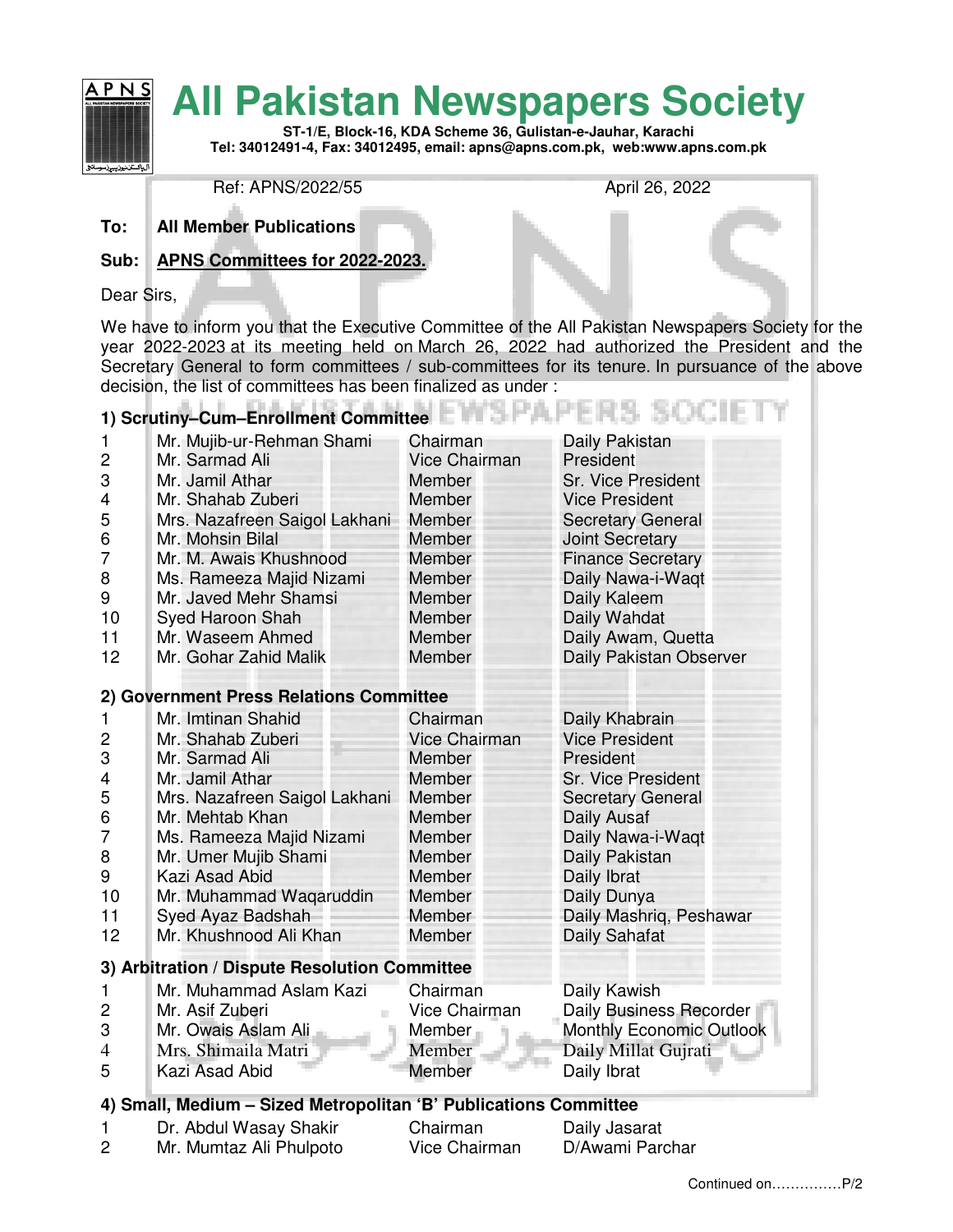

Ref: APNS/2022/55 April 26, 2022

**To: All Member Publications**

#### **Sub: APNS Committees for 2022-2023.**

Dear Sirs,

We have to inform you that the Executive Committee of the All Pakistan Newspapers Society for the year 2022-2023 at its meeting held on March 26, 2022 had authorized the President and the Secretary General to form committees / sub-committees for its tenure. In pursuance of the above decision, the list of committees has been finalized as under :

# **1) Scrutiny–Cum–Enrollment Committee**

| $\mathbf{1}$   | Mr. Mujib-ur-Rehman Shami     | Chairman             | Daily Pakistan           |
|----------------|-------------------------------|----------------------|--------------------------|
| 2              | Mr. Sarmad Ali                | <b>Vice Chairman</b> | President                |
| 3              | Mr. Jamil Athar               | <b>Member</b>        | Sr. Vice President       |
| $\overline{4}$ | Mr. Shahab Zuberi             | <b>Member</b>        | <b>Vice President</b>    |
| 5              | Mrs. Nazafreen Saigol Lakhani | Member               | <b>Secretary General</b> |
| 6              | Mr. Mohsin Bilal              | Member               | <b>Joint Secretary</b>   |
| 7              | Mr. M. Awais Khushnood        | Member               | <b>Finance Secretary</b> |
| 8              | Ms. Rameeza Majid Nizami      | <b>Member</b>        | Daily Nawa-i-Waqt        |
| 9              | Mr. Javed Mehr Shamsi         | Member               | Daily Kaleem             |
| 10             | Syed Haroon Shah              | <b>Member</b>        | Daily Wahdat             |
| 11             | Mr. Waseem Ahmed              | Member               | Daily Awam, Quetta       |
| 12             | Mr. Gohar Zahid Malik         | Member               | Daily Pakistan Observer  |
|                |                               |                      |                          |

#### **2) Government Press Relations Committee**

|                                               | Mr. Imtinan Shahid            | Chairman             | Daily Khabrain            |
|-----------------------------------------------|-------------------------------|----------------------|---------------------------|
| 2                                             | Mr. Shahab Zuberi             | <b>Vice Chairman</b> | <b>Vice President</b>     |
| 3                                             | Mr. Sarmad Ali                | Member               | President                 |
| 4                                             | Mr. Jamil Athar               | Member               | <b>Sr. Vice President</b> |
| 5                                             | Mrs. Nazafreen Saigol Lakhani | Member               | <b>Secretary General</b>  |
| 6                                             | Mr. Mehtab Khan               | Member               | Daily Ausaf               |
|                                               | Ms. Rameeza Majid Nizami      | <b>Member</b>        | Daily Nawa-i-Waqt         |
| 8                                             | Mr. Umer Mujib Shami          | Member               | Daily Pakistan            |
| 9                                             | Kazi Asad Abid                | Member               | Daily Ibrat               |
| 10                                            | Mr. Muhammad Wagaruddin       | Member               | Daily Dunya               |
| 11                                            | Syed Ayaz Badshah             | Member               | Daily Mashriq, Peshawar   |
| 12 <sup>2</sup>                               | Mr. Khushnood Ali Khan        | Member               | Daily Sahafat             |
| 3) Arbitration / Dispute Resolution Committee |                               |                      |                           |

|                | Mr. Muhammad Aslam Kazi | Chairman      | Daily Kawish                    |
|----------------|-------------------------|---------------|---------------------------------|
|                | Mr. Asif Zuberi         | Vice Chairman | Daily Business Recorder         |
| -3             | Mr. Owais Aslam Ali     | Member        | <b>Monthly Economic Outlook</b> |
| $\overline{4}$ | Mrs. Shimaila Matri     | Member        | Daily Millat Gujrati            |
| -5             | Kazi Asad Abid          | Member        | Daily Ibrat                     |

### **4) Small, Medium – Sized Metropolitan 'B' Publications Committee**

| Dr. Abdul Wasay Shakir  | Chairman      | Daily Jasarat   |
|-------------------------|---------------|-----------------|
| Mr. Mumtaz Ali Phulpoto | Vice Chairman | D/Awami Parchar |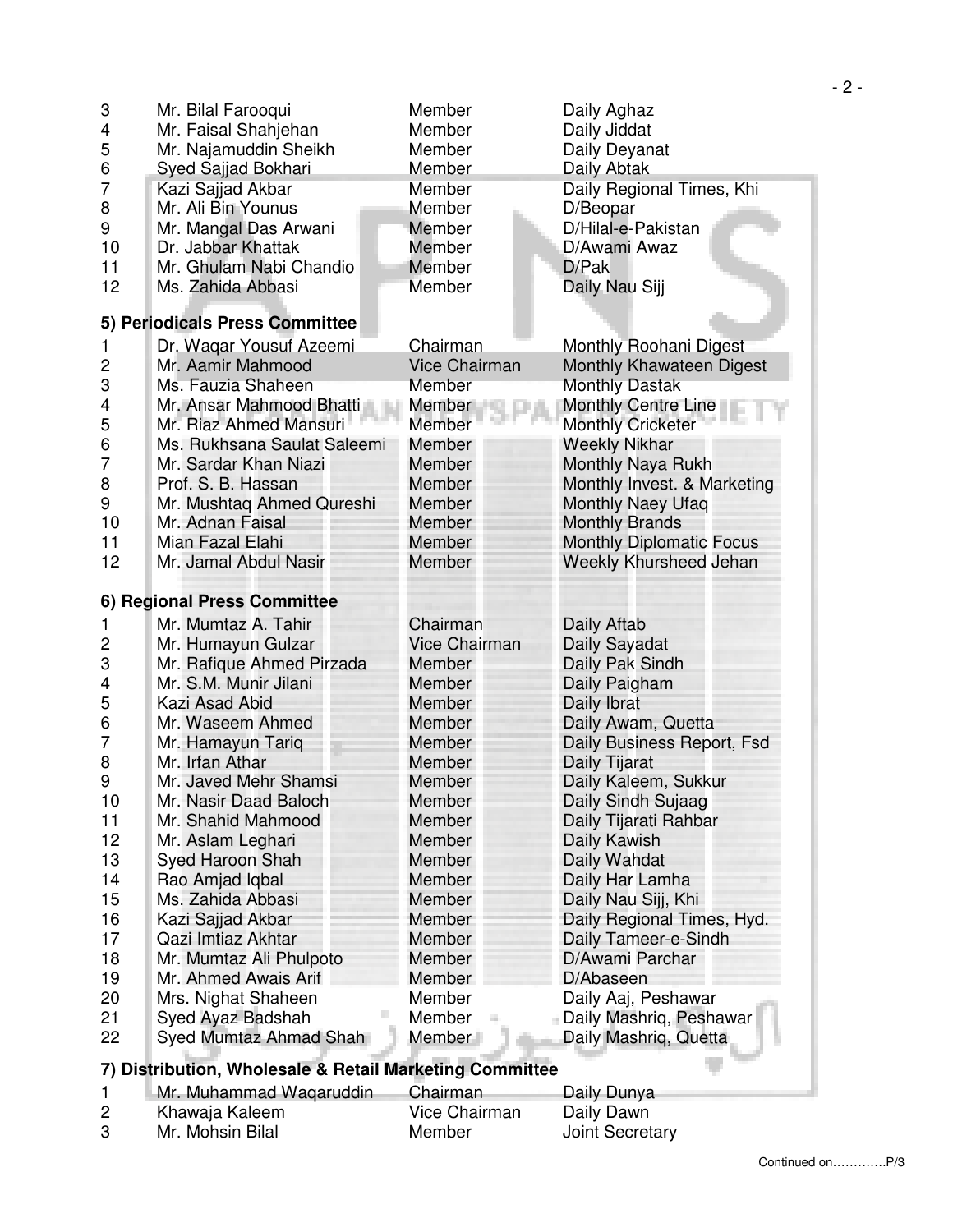| 3              | Mr. Bilal Farooqui             | Member               | Daily Aghaz                     |
|----------------|--------------------------------|----------------------|---------------------------------|
| 4              | Mr. Faisal Shahjehan           | Member               | Daily Jiddat                    |
| 5              | Mr. Najamuddin Sheikh          | Member               | Daily Deyanat                   |
| 6              | Syed Sajjad Bokhari            | Member               | Daily Abtak                     |
| 7              | Kazi Sajjad Akbar              | Member               | Daily Regional Times, Khi       |
| 8              | Mr. Ali Bin Younus             | Member               | D/Beopar                        |
| 9              | Mr. Mangal Das Arwani          | Member               | D/Hilal-e-Pakistan              |
| 10             | Dr. Jabbar Khattak             | Member               | D/Awami Awaz                    |
| 11             | Mr. Ghulam Nabi Chandio        | Member               | D/Pak                           |
| 12             | Ms. Zahida Abbasi              | Member               | Daily Nau Sijj                  |
|                | 5) Periodicals Press Committee |                      |                                 |
| 1              | Dr. Waqar Yousuf Azeemi        | Chairman             | Monthly Roohani Digest          |
| $\overline{c}$ | Mr. Aamir Mahmood              | <b>Vice Chairman</b> | Monthly Khawateen Digest        |
| 3              | Ms. Fauzia Shaheen             | Member               | <b>Monthly Dastak</b>           |
| 4              | Mr. Ansar Mahmood Bhatti       | Member               | <b>Monthly Centre Line</b>      |
| 5              | Mr. Riaz Ahmed Mansuri         | Member               | <b>Monthly Cricketer</b>        |
| 6              | Ms. Rukhsana Saulat Saleemi    | Member               | <b>Weekly Nikhar</b>            |
| 7              | Mr. Sardar Khan Niazi          | Member               | Monthly Naya Rukh               |
| 8              | Prof. S. B. Hassan             | <b>Member</b>        | Monthly Invest. & Marketing     |
| 9              | Mr. Mushtaq Ahmed Qureshi      | Member               | <b>Monthly Naey Ufaq</b>        |
| 10             | Mr. Adnan Faisal               | <b>Member</b>        | <b>Monthly Brands</b>           |
| 11             | Mian Fazal Elahi               | <b>Member</b>        | <b>Monthly Diplomatic Focus</b> |
| 12             | Mr. Jamal Abdul Nasir          | Member               | Weekly Khursheed Jehan          |
|                |                                |                      |                                 |
|                |                                |                      |                                 |
|                | 6) Regional Press Committee    |                      |                                 |
| 1              | Mr. Mumtaz A. Tahir            | Chairman             | Daily Aftab                     |
| 2              | Mr. Humayun Gulzar             | <b>Vice Chairman</b> | Daily Sayadat                   |
| 3              | Mr. Rafique Ahmed Pirzada      | Member               | Daily Pak Sindh                 |
| 4              | Mr. S.M. Munir Jilani          | Member               | Daily Paigham                   |
| 5              | Kazi Asad Abid                 | <b>Member</b>        | Daily Ibrat                     |
| 6              | Mr. Waseem Ahmed               | Member               | Daily Awam, Quetta              |
| 7              | Mr. Hamayun Tariq              | <b>Member</b>        | Daily Business Report, Fsd      |
| 8              | Mr. Irfan Athar                | Member               | Daily Tijarat                   |
| 9              | Mr. Javed Mehr Shamsi          | Member               | Daily Kaleem, Sukkur            |
| 10             | Mr. Nasir Daad Baloch          | Member               | Daily Sindh Sujaag              |
| 11             | Mr. Shahid Mahmood             | Member               | Daily Tijarati Rahbar           |
| 12             | Mr. Aslam Leghari              | <b>Member</b>        | Daily Kawish                    |
| 13             | Syed Haroon Shah               | <b>Member</b>        | Daily Wahdat                    |
| 14             | Rao Amjad Iqbal                | Member               | Daily Har Lamha                 |
| 15             | Ms. Zahida Abbasi              | Member               | Daily Nau Sijj, Khi             |
| 16             | Kazi Sajjad Akbar              | Member               | Daily Regional Times, Hyd.      |
| 17             | Qazi Imtiaz Akhtar             | Member               | Daily Tameer-e-Sindh            |
| 18             | Mr. Mumtaz Ali Phulpoto        | Member               | D/Awami Parchar                 |
| 19             | Mr. Ahmed Awais Arif           | Member               | D/Abaseen                       |
| 20             | Mrs. Nighat Shaheen            | Member               | Daily Aaj, Peshawar             |
| 21             | Syed Ayaz Badshah              | Member               | - Daily Mashriq, Peshawar       |
| 22             | Syed Mumtaz Ahmad Shah         | Member               | Daily Mashriq, Quetta           |

## **7) Distribution, Wholesale & Retail Marketing Committee**

|    | Mr. Muhammad Waqaruddin | Chairman      | Daily Dunya            |
|----|-------------------------|---------------|------------------------|
|    | Khawaja Kaleem          | Vice Chairman | Daily Dawn             |
| -3 | Mr. Mohsin Bilal        | Member        | <b>Joint Secretary</b> |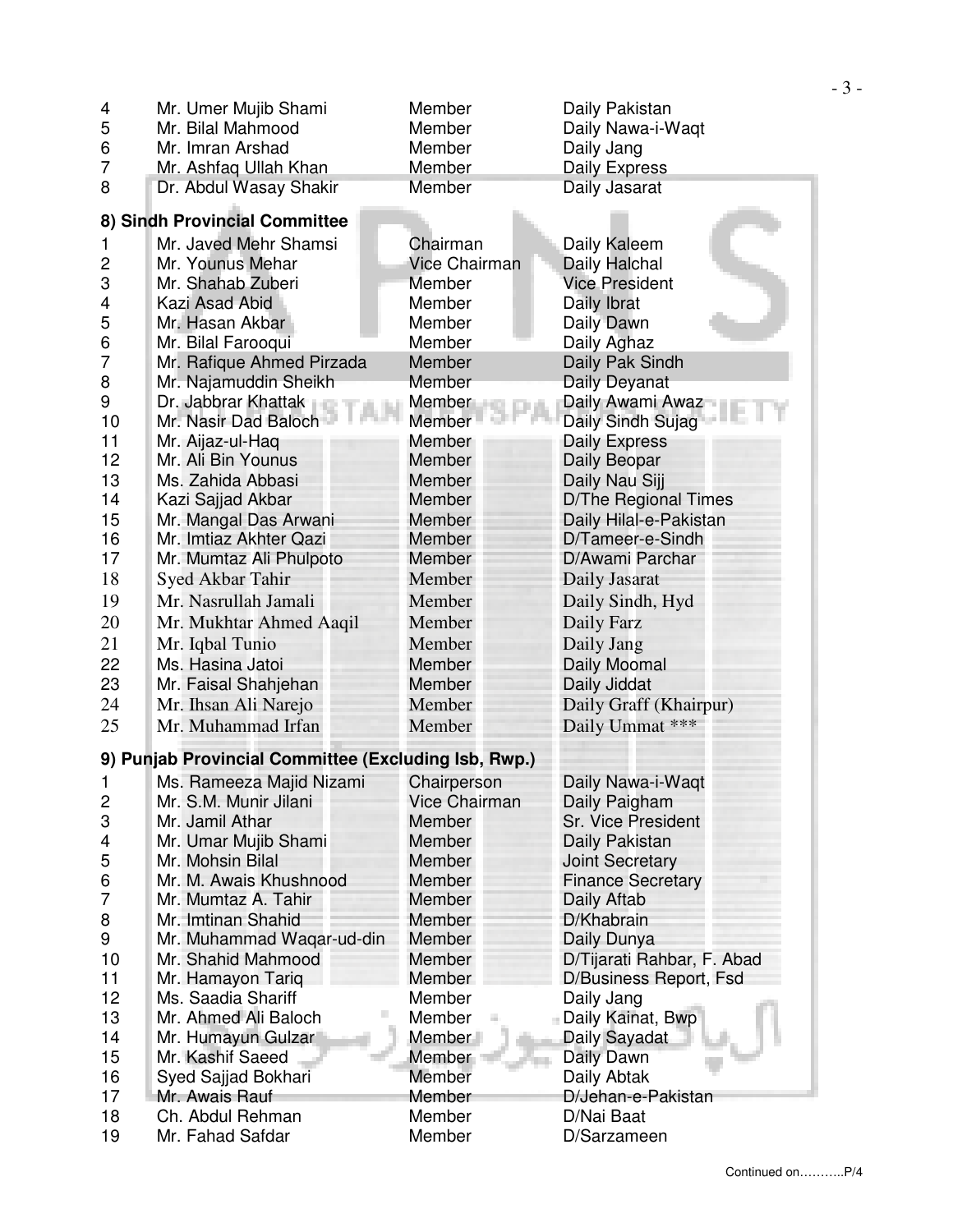| Mr. Umer Mujib Shami<br>Member<br>Daily Pakistan<br>4                                                       |                            |
|-------------------------------------------------------------------------------------------------------------|----------------------------|
| 5<br>Mr. Bilal Mahmood<br>Member<br>Daily Nawa-i-Waqt                                                       |                            |
| 6<br>Mr. Imran Arshad<br>Daily Jang<br>Member                                                               |                            |
| 7<br>Mr. Ashfaq Ullah Khan<br><b>Daily Express</b><br>Member                                                |                            |
| 8<br>Dr. Abdul Wasay Shakir<br>Member<br>Daily Jasarat                                                      |                            |
| 8) Sindh Provincial Committee                                                                               |                            |
| Mr. Javed Mehr Shamsi<br>Chairman<br>Daily Kaleem<br>1                                                      |                            |
| $\overline{c}$<br><b>Vice Chairman</b><br>Daily Halchal<br>Mr. Younus Mehar                                 |                            |
| 3<br>Mr. Shahab Zuberi<br><b>Member</b><br><b>Vice President</b>                                            |                            |
| 4<br>Member<br>Daily Ibrat<br>Kazi Asad Abid                                                                |                            |
| 5<br>Mr. Hasan Akbar<br>Member<br>Daily Dawn                                                                |                            |
| 6<br>Member<br>Mr. Bilal Farooqui<br>Daily Aghaz                                                            |                            |
| 7<br>Mr. Rafique Ahmed Pirzada<br>Daily Pak Sindh<br>Member                                                 |                            |
| Mr. Najamuddin Sheikh<br>Daily Deyanat<br>8<br>Member                                                       |                            |
| 9<br>Dr. Jabbrar Khattak<br>Daily Awami Awaz<br>Member                                                      |                            |
| 10<br>Mr. Nasir Dad Baloch<br>Member<br>Daily Sindh Sujag                                                   |                            |
| 11<br>Member<br><b>Daily Express</b><br>Mr. Aijaz-ul-Haq                                                    |                            |
| 12<br>Mr. Ali Bin Younus<br><b>Member</b><br>Daily Beopar                                                   |                            |
| 13<br>Ms. Zahida Abbasi<br>Daily Nau Sijj<br>Member                                                         |                            |
| 14<br>D/The Regional Times<br>Kazi Sajjad Akbar<br>Member                                                   |                            |
| 15<br>Mr. Mangal Das Arwani<br>Member<br>Daily Hilal-e-Pakistan                                             |                            |
| 16<br>Mr. Imtiaz Akhter Qazi<br>D/Tameer-e-Sindh<br>Member                                                  |                            |
| 17<br>D/Awami Parchar<br>Mr. Mumtaz Ali Phulpoto<br>Member                                                  |                            |
| 18<br>Syed Akbar Tahir<br>Member<br>Daily Jasarat                                                           |                            |
| 19<br>Mr. Nasrullah Jamali<br>Member<br>Daily Sindh, Hyd                                                    |                            |
| Member<br>20<br>Mr. Mukhtar Ahmed Aaqil<br>Daily Farz                                                       |                            |
| 21<br>Daily Jang<br>Mr. Iqbal Tunio<br>Member                                                               |                            |
| 22<br>Ms. Hasina Jatoi<br>Daily Moomal<br><b>Member</b>                                                     |                            |
| 23<br><b>Member</b><br>Daily Jiddat<br>Mr. Faisal Shahjehan                                                 |                            |
| 24<br>Member<br>Daily Graff (Khairpur)<br>Mr. Ihsan Ali Narejo                                              |                            |
| 25<br>Mr. Muhammad Irfan<br>Daily Ummat ***<br>Member                                                       |                            |
| 9) Punjab Provincial Committee (Excluding Isb, Rwp.)                                                        |                            |
|                                                                                                             |                            |
| Ms. Rameeza Majid Nizami<br>Daily Nawa-i-Waqt<br>Chairperson<br>1<br>Mr. S.M. Munir Jilani<br>Vice Chairman |                            |
| Daily Paigham<br>$\overline{\mathbf{c}}$<br>3<br>Mr. Jamil Athar<br>Member                                  |                            |
| Sr. Vice President<br>Mr. Umar Mujib Shami<br>Member<br>Daily Pakistan                                      |                            |
| 4<br>5<br>Mr. Mohsin Bilal<br><b>Member</b><br><b>Joint Secretary</b>                                       |                            |
| 6<br>Mr. M. Awais Khushnood<br>Member<br><b>Finance Secretary</b>                                           |                            |
| 7<br>Mr. Mumtaz A. Tahir<br><b>Member</b><br>Daily Aftab                                                    |                            |
| Mr. Imtinan Shahid<br>Member<br>D/Khabrain                                                                  |                            |
| 8<br>9<br>Mr. Muhammad Waqar-ud-din<br><b>Member</b><br>Daily Dunya                                         |                            |
| 10<br>Mr. Shahid Mahmood<br>Member                                                                          | D/Tijarati Rahbar, F. Abad |
| 11<br>Mr. Hamayon Tariq<br>Member                                                                           | D/Business Report, Fsd     |
| 12<br>Ms. Saadia Shariff<br>Member<br>Daily Jang                                                            |                            |
| 13<br>Mr. Ahmed Ali Baloch<br>Member<br>Daily Kainat, Bwp                                                   |                            |
| 14<br>Mr. Humayun Gulzar<br>Member<br>Daily Sayadat                                                         |                            |
| 15<br>Mr. Kashif Saeed<br>Member<br>Daily Dawn                                                              |                            |
| 16<br>Syed Sajjad Bokhari<br>Member<br>Daily Abtak                                                          |                            |
|                                                                                                             |                            |
|                                                                                                             |                            |
| 17<br>Mr. Awais Rauf<br>Member<br>D/Jehan-e-Pakistan<br>18<br>Ch. Abdul Rehman<br>Member<br>D/Nai Baat      |                            |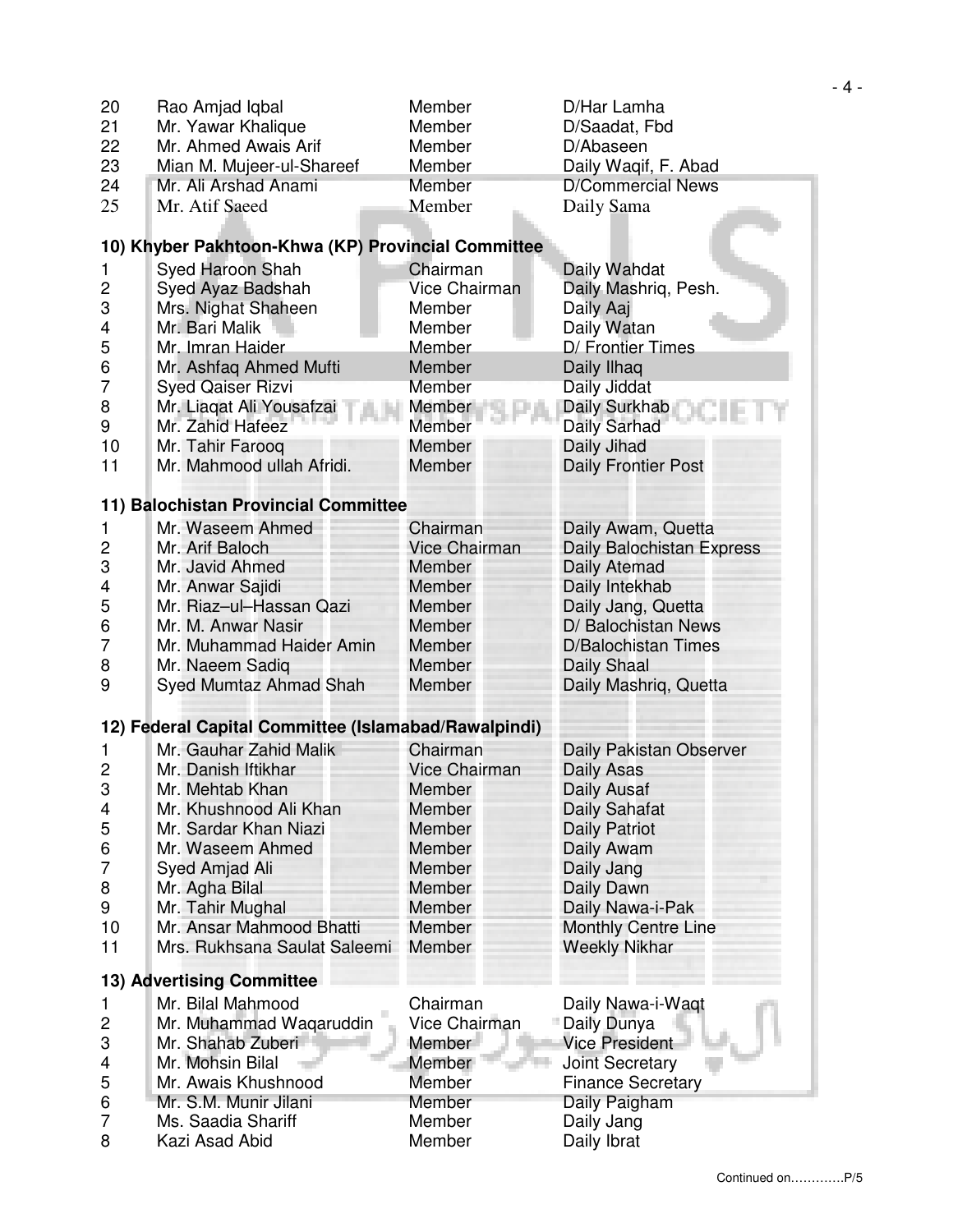| 20             | Rao Amjad Iqbal                                      | Member               | D/Har Lamha                |
|----------------|------------------------------------------------------|----------------------|----------------------------|
| 21             | Mr. Yawar Khalique                                   | Member               | D/Saadat, Fbd              |
| 22             | Mr. Ahmed Awais Arif                                 | Member               | D/Abaseen                  |
| 23             | Mian M. Mujeer-ul-Shareef                            | Member               | Daily Waqif, F. Abad       |
| 24             | Mr. Ali Arshad Anami                                 | Member               | <b>D/Commercial News</b>   |
| 25             | Mr. Atif Saeed                                       | Member               | Daily Sama                 |
|                |                                                      |                      |                            |
|                | 10) Khyber Pakhtoon-Khwa (KP) Provincial Committee   |                      |                            |
| 1              | Syed Haroon Shah                                     | Chairman             | Daily Wahdat               |
| 2              | Syed Ayaz Badshah                                    | <b>Vice Chairman</b> | Daily Mashriq, Pesh.       |
| 3              | Mrs. Nighat Shaheen                                  | Member               | Daily Aaj                  |
| 4              | Mr. Bari Malik                                       | Member               | Daily Watan                |
| 5              | Mr. Imran Haider                                     | Member               | D/ Frontier Times          |
| 6              | Mr. Ashfaq Ahmed Mufti                               | Member               | Daily Ilhaq                |
| 7              | <b>Syed Qaiser Rizvi</b>                             | Member               | Daily Jiddat               |
| 8              | Mr. Liaqat Ali Yousafzai                             | Member               | Daily Surkhab              |
| 9              | Mr. Zahid Hafeez                                     | Member               | Daily Sarhad               |
| 10             | Mr. Tahir Farooq                                     | Member               | Daily Jihad                |
| 11             | Mr. Mahmood ullah Afridi.                            | Member               | Daily Frontier Post        |
|                |                                                      |                      |                            |
|                | 11) Balochistan Provincial Committee                 |                      |                            |
| 1              | Mr. Waseem Ahmed                                     | Chairman             | Daily Awam, Quetta         |
| 2              | Mr. Arif Baloch                                      | <b>Vice Chairman</b> | Daily Balochistan Express  |
| 3              | Mr. Javid Ahmed                                      | Member               | Daily Atemad               |
| 4              | Mr. Anwar Sajidi                                     | <b>Member</b>        | Daily Intekhab             |
| 5              | Mr. Riaz-ul-Hassan Qazi                              | Member               | Daily Jang, Quetta         |
| 6              | Mr. M. Anwar Nasir                                   | Member               | D/ Balochistan News        |
| 7              | Mr. Muhammad Haider Amin                             | Member               | <b>D/Balochistan Times</b> |
| 8              | Mr. Naeem Sadiq                                      | Member               | Daily Shaal                |
| 9              | Syed Mumtaz Ahmad Shah                               | Member               | Daily Mashriq, Quetta      |
|                | 12) Federal Capital Committee (Islamabad/Rawalpindi) |                      |                            |
| 1              | Mr. Gauhar Zahid Malik                               | Chairman             | Daily Pakistan Observer    |
| $\overline{c}$ | Mr. Danish Iftikhar                                  | <b>Vice Chairman</b> | Daily Asas                 |
| C              | Mr. Mehtab Khan                                      | Member               | Daily Ausaf                |
| P<br>4         | Mr. Khushnood Ali Khan                               | Member               | Daily Sahafat              |
| 5              | Mr. Sardar Khan Niazi                                | Member               | <b>Daily Patriot</b>       |
| 6              | Mr. Waseem Ahmed                                     | <b>Member</b>        | Daily Awam                 |
| 7              | Syed Amjad Ali                                       | Member               | Daily Jang                 |
| 8              | Mr. Agha Bilal                                       | Member               | Daily Dawn                 |
| 9              | Mr. Tahir Mughal                                     | <b>Member</b>        | Daily Nawa-i-Pak           |
| 10             | Mr. Ansar Mahmood Bhatti                             | Member               | <b>Monthly Centre Line</b> |
| 11             | Mrs. Rukhsana Saulat Saleemi                         | Member               | <b>Weekly Nikhar</b>       |
|                |                                                      |                      |                            |
|                | 13) Advertising Committee                            |                      |                            |
| 1              | Mr. Bilal Mahmood                                    | Chairman             | Daily Nawa-i-Waqt          |
| 2              | Mr. Muhammad Waqaruddin                              | <b>Vice Chairman</b> | Daily Dunya                |
| 3              | Mr. Shahab Zuberi                                    | <b>Member</b>        | <b>Vice President</b>      |
| 4              | Mr. Mohsin Bilal                                     | Member               | <b>Joint Secretary</b>     |
| 5              | Mr. Awais Khushnood                                  | Member               | <b>Finance Secretary</b>   |
| 6              | Mr. S.M. Munir Jilani                                | Member               | Daily Paigham              |
| 7              | Ms. Saadia Shariff                                   | Member               | Daily Jang                 |
| 8              | Kazi Asad Abid                                       | Member               | Daily Ibrat                |